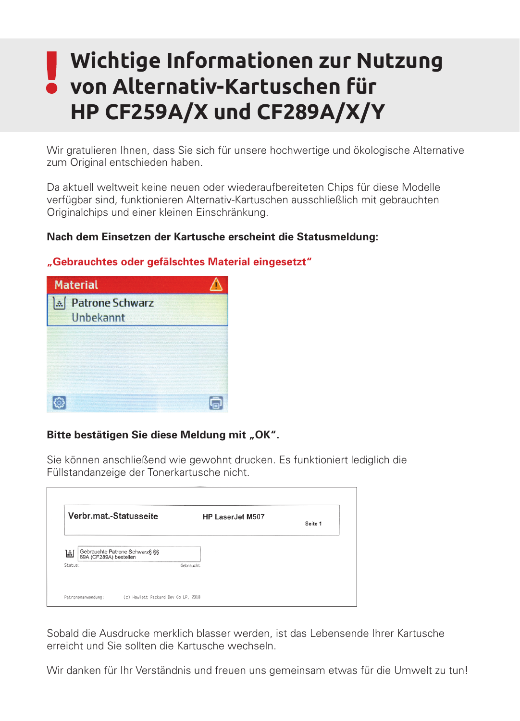# **Wichtige Informationen zur Nutzung von Alternativ-Kartuschen für HP CF259A/X und CF289A/X/Y**

Wir gratulieren Ihnen, dass Sie sich für unsere hochwertige und ökologische Alternative zum Original entschieden haben.

Da aktuell weltweit keine neuen oder wiederaufbereiteten Chips für diese Modelle verfügbar sind, funktionieren Alternativ-Kartuschen ausschließlich mit gebrauchten Originalchips und einer kleinen Einschränkung.

## **Nach dem Einsetzen der Kartusche erscheint die Statusmeldung:**



### **"Gebrauchtes oder gefälschtes Material eingesetzt"**

### Bitte bestätigen Sie diese Meldung mit "OK".

Sie können anschließend wie gewohnt drucken. Es funktioniert lediglich die Füllstandanzeige der Tonerkartusche nicht.

| Verbr.mat.-Statusseite |                                                          | HP LaserJet M507 | Seite 1 |
|------------------------|----------------------------------------------------------|------------------|---------|
| 圖                      | Gebrauchte Patrone Schwarz§ §§<br>89A (CF289A) bestellen |                  |         |
| Status:                | Gebraucht                                                |                  |         |

Sobald die Ausdrucke merklich blasser werden, ist das Lebensende Ihrer Kartusche erreicht und Sie sollten die Kartusche wechseln.

Wir danken für Ihr Verständnis und freuen uns gemeinsam etwas für die Umwelt zu tun!